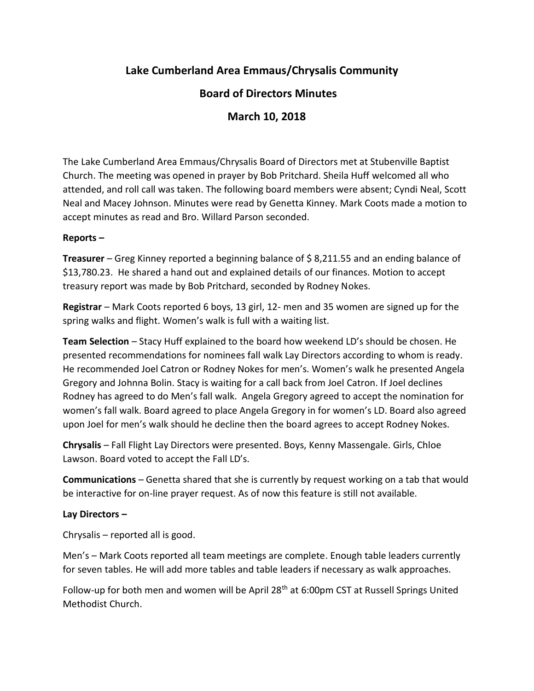# **Lake Cumberland Area Emmaus/Chrysalis Community**

## **Board of Directors Minutes**

## **March 10, 2018**

The Lake Cumberland Area Emmaus/Chrysalis Board of Directors met at Stubenville Baptist Church. The meeting was opened in prayer by Bob Pritchard. Sheila Huff welcomed all who attended, and roll call was taken. The following board members were absent; Cyndi Neal, Scott Neal and Macey Johnson. Minutes were read by Genetta Kinney. Mark Coots made a motion to accept minutes as read and Bro. Willard Parson seconded.

#### **Reports –**

**Treasurer** – Greg Kinney reported a beginning balance of \$ 8,211.55 and an ending balance of \$13,780.23. He shared a hand out and explained details of our finances. Motion to accept treasury report was made by Bob Pritchard, seconded by Rodney Nokes.

**Registrar** – Mark Coots reported 6 boys, 13 girl, 12- men and 35 women are signed up for the spring walks and flight. Women's walk is full with a waiting list.

**Team Selection** – Stacy Huff explained to the board how weekend LD's should be chosen. He presented recommendations for nominees fall walk Lay Directors according to whom is ready. He recommended Joel Catron or Rodney Nokes for men's. Women's walk he presented Angela Gregory and Johnna Bolin. Stacy is waiting for a call back from Joel Catron. If Joel declines Rodney has agreed to do Men's fall walk. Angela Gregory agreed to accept the nomination for women's fall walk. Board agreed to place Angela Gregory in for women's LD. Board also agreed upon Joel for men's walk should he decline then the board agrees to accept Rodney Nokes.

**Chrysalis** – Fall Flight Lay Directors were presented. Boys, Kenny Massengale. Girls, Chloe Lawson. Board voted to accept the Fall LD's.

**Communications** – Genetta shared that she is currently by request working on a tab that would be interactive for on-line prayer request. As of now this feature is still not available.

### **Lay Directors –**

Chrysalis – reported all is good.

Men's – Mark Coots reported all team meetings are complete. Enough table leaders currently for seven tables. He will add more tables and table leaders if necessary as walk approaches.

Follow-up for both men and women will be April 28<sup>th</sup> at 6:00pm CST at Russell Springs United Methodist Church.